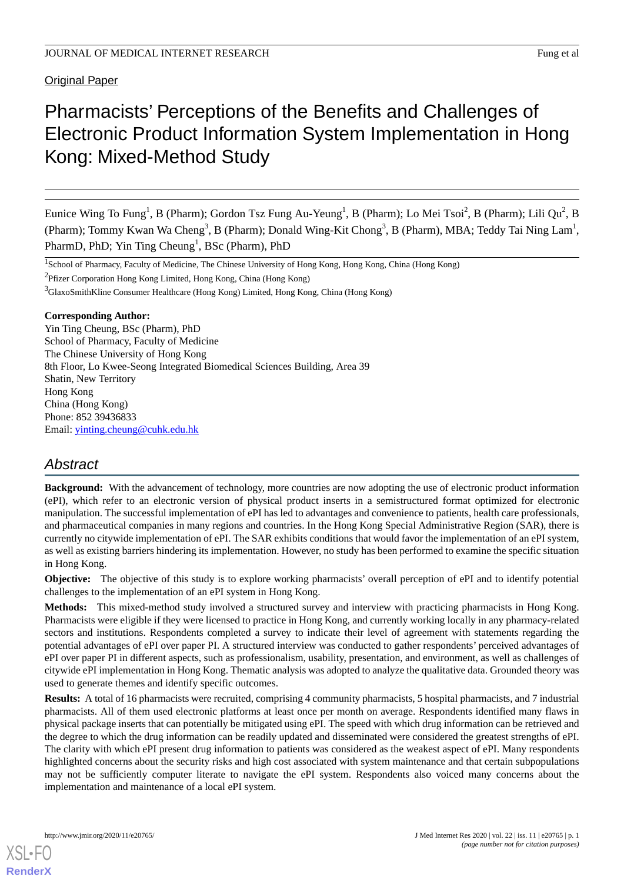**Original Paper** 

# Pharmacists' Perceptions of the Benefits and Challenges of Electronic Product Information System Implementation in Hong Kong: Mixed-Method Study

Eunice Wing To Fung<sup>1</sup>, B (Pharm); Gordon Tsz Fung Au-Yeung<sup>1</sup>, B (Pharm); Lo Mei Tsoi<sup>2</sup>, B (Pharm); Lili Qu<sup>2</sup>, B (Pharm); Tommy Kwan Wa Cheng<sup>3</sup>, B (Pharm); Donald Wing-Kit Chong<sup>3</sup>, B (Pharm), MBA; Teddy Tai Ning Lam<sup>1</sup>, PharmD, PhD; Yin Ting Cheung<sup>1</sup>, BSc (Pharm), PhD

<sup>1</sup>School of Pharmacy, Faculty of Medicine, The Chinese University of Hong Kong, Hong Kong, China (Hong Kong)

<sup>2</sup>Pfizer Corporation Hong Kong Limited, Hong Kong, China (Hong Kong)

<sup>3</sup>GlaxoSmithKline Consumer Healthcare (Hong Kong) Limited, Hong Kong, China (Hong Kong)

### **Corresponding Author:**

Yin Ting Cheung, BSc (Pharm), PhD School of Pharmacy, Faculty of Medicine The Chinese University of Hong Kong 8th Floor, Lo Kwee-Seong Integrated Biomedical Sciences Building, Area 39 Shatin, New Territory Hong Kong China (Hong Kong) Phone: 852 39436833 Email: [yinting.cheung@cuhk.edu.hk](mailto:yinting.cheung@cuhk.edu.hk)

# *Abstract*

**Background:** With the advancement of technology, more countries are now adopting the use of electronic product information (ePI), which refer to an electronic version of physical product inserts in a semistructured format optimized for electronic manipulation. The successful implementation of ePI has led to advantages and convenience to patients, health care professionals, and pharmaceutical companies in many regions and countries. In the Hong Kong Special Administrative Region (SAR), there is currently no citywide implementation of ePI. The SAR exhibits conditions that would favor the implementation of an ePI system, as well as existing barriers hindering its implementation. However, no study has been performed to examine the specific situation in Hong Kong.

**Objective:** The objective of this study is to explore working pharmacists' overall perception of ePI and to identify potential challenges to the implementation of an ePI system in Hong Kong.

**Methods:** This mixed-method study involved a structured survey and interview with practicing pharmacists in Hong Kong. Pharmacists were eligible if they were licensed to practice in Hong Kong, and currently working locally in any pharmacy-related sectors and institutions. Respondents completed a survey to indicate their level of agreement with statements regarding the potential advantages of ePI over paper PI. A structured interview was conducted to gather respondents' perceived advantages of ePI over paper PI in different aspects, such as professionalism, usability, presentation, and environment, as well as challenges of citywide ePI implementation in Hong Kong. Thematic analysis was adopted to analyze the qualitative data. Grounded theory was used to generate themes and identify specific outcomes.

**Results:** A total of 16 pharmacists were recruited, comprising 4 community pharmacists, 5 hospital pharmacists, and 7 industrial pharmacists. All of them used electronic platforms at least once per month on average. Respondents identified many flaws in physical package inserts that can potentially be mitigated using ePI. The speed with which drug information can be retrieved and the degree to which the drug information can be readily updated and disseminated were considered the greatest strengths of ePI. The clarity with which ePI present drug information to patients was considered as the weakest aspect of ePI. Many respondents highlighted concerns about the security risks and high cost associated with system maintenance and that certain subpopulations may not be sufficiently computer literate to navigate the ePI system. Respondents also voiced many concerns about the implementation and maintenance of a local ePI system.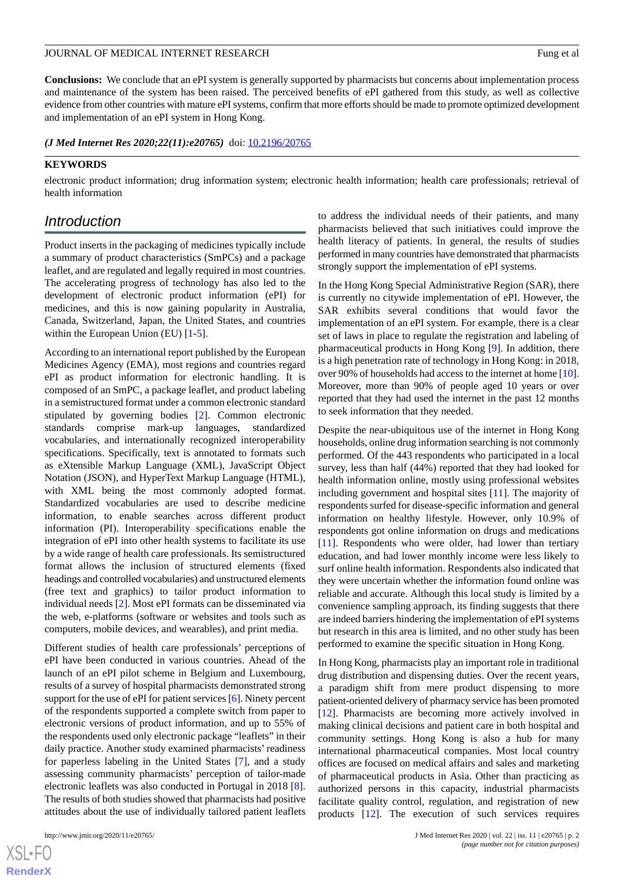**Conclusions:** We conclude that an ePI system is generally supported by pharmacists but concerns about implementation process and maintenance of the system has been raised. The perceived benefits of ePI gathered from this study, as well as collective evidence from other countries with mature ePI systems, confirm that more efforts should be made to promote optimized development and implementation of an ePI system in Hong Kong.

*(J Med Internet Res 2020;22(11):e20765)* doi:  $10.2196/20765$ 

#### **KEYWORDS**

electronic product information; drug information system; electronic health information; health care professionals; retrieval of health information

# *Introduction*

Product inserts in the packaging of medicines typically include a summary of product characteristics (SmPCs) and a package leaflet, and are regulated and legally required in most countries. The accelerating progress of technology has also led to the development of electronic product information (ePI) for medicines, and this is now gaining popularity in Australia, Canada, Switzerland, Japan, the United States, and countries within the European Union (EU) [\[1](#page-11-0)-[5\]](#page-11-1).

According to an international report published by the European Medicines Agency (EMA), most regions and countries regard ePI as product information for electronic handling. It is composed of an SmPC, a package leaflet, and product labeling in a semistructured format under a common electronic standard stipulated by governing bodies [[2\]](#page-11-2). Common electronic standards comprise mark-up languages, standardized vocabularies, and internationally recognized interoperability specifications. Specifically, text is annotated to formats such as eXtensible Markup Language (XML), JavaScript Object Notation (JSON), and HyperText Markup Language (HTML), with XML being the most commonly adopted format. Standardized vocabularies are used to describe medicine information, to enable searches across different product information (PI). Interoperability specifications enable the integration of ePI into other health systems to facilitate its use by a wide range of health care professionals. Its semistructured format allows the inclusion of structured elements (fixed headings and controlled vocabularies) and unstructured elements (free text and graphics) to tailor product information to individual needs [\[2](#page-11-2)]. Most ePI formats can be disseminated via the web, e-platforms (software or websites and tools such as computers, mobile devices, and wearables), and print media.

Different studies of health care professionals' perceptions of ePI have been conducted in various countries. Ahead of the launch of an ePI pilot scheme in Belgium and Luxembourg, results of a survey of hospital pharmacists demonstrated strong support for the use of ePI for patient services [\[6](#page-11-3)]. Ninety percent of the respondents supported a complete switch from paper to electronic versions of product information, and up to 55% of the respondents used only electronic package "leaflets" in their daily practice. Another study examined pharmacists' readiness for paperless labeling in the United States [[7\]](#page-11-4), and a study assessing community pharmacists' perception of tailor-made electronic leaflets was also conducted in Portugal in 2018 [[8\]](#page-11-5). The results of both studies showed that pharmacists had positive attitudes about the use of individually tailored patient leaflets

to address the individual needs of their patients, and many pharmacists believed that such initiatives could improve the health literacy of patients. In general, the results of studies performed in many countries have demonstrated that pharmacists strongly support the implementation of ePI systems.

In the Hong Kong Special Administrative Region (SAR), there is currently no citywide implementation of ePI. However, the SAR exhibits several conditions that would favor the implementation of an ePI system. For example, there is a clear set of laws in place to regulate the registration and labeling of pharmaceutical products in Hong Kong [\[9](#page-11-6)]. In addition, there is a high penetration rate of technology in Hong Kong: in 2018, over 90% of households had access to the internet at home [[10\]](#page-11-7). Moreover, more than 90% of people aged 10 years or over reported that they had used the internet in the past 12 months to seek information that they needed.

Despite the near-ubiquitous use of the internet in Hong Kong households, online drug information searching is not commonly performed. Of the 443 respondents who participated in a local survey, less than half (44%) reported that they had looked for health information online, mostly using professional websites including government and hospital sites [\[11](#page-11-8)]. The majority of respondents surfed for disease-specific information and general information on healthy lifestyle. However, only 10.9% of respondents got online information on drugs and medications [[11\]](#page-11-8). Respondents who were older, had lower than tertiary education, and had lower monthly income were less likely to surf online health information. Respondents also indicated that they were uncertain whether the information found online was reliable and accurate. Although this local study is limited by a convenience sampling approach, its finding suggests that there are indeed barriers hindering the implementation of ePI systems but research in this area is limited, and no other study has been performed to examine the specific situation in Hong Kong.

In Hong Kong, pharmacists play an important role in traditional drug distribution and dispensing duties. Over the recent years, a paradigm shift from mere product dispensing to more patient-oriented delivery of pharmacy service has been promoted [[12\]](#page-11-9). Pharmacists are becoming more actively involved in making clinical decisions and patient care in both hospital and community settings. Hong Kong is also a hub for many international pharmaceutical companies. Most local country offices are focused on medical affairs and sales and marketing of pharmaceutical products in Asia. Other than practicing as authorized persons in this capacity, industrial pharmacists facilitate quality control, regulation, and registration of new products [[12\]](#page-11-9). The execution of such services requires

 $XS$  • FC **[RenderX](http://www.renderx.com/)**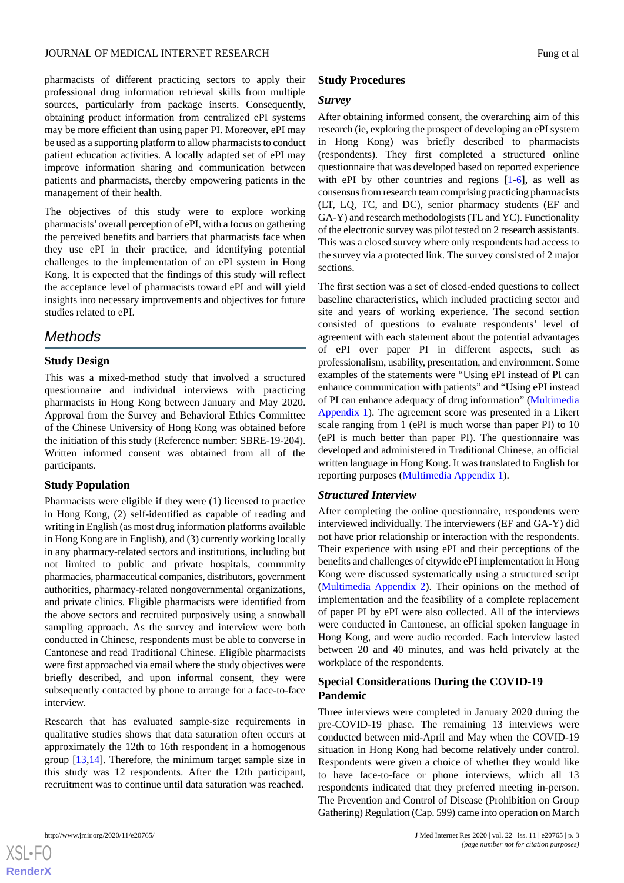pharmacists of different practicing sectors to apply their professional drug information retrieval skills from multiple sources, particularly from package inserts. Consequently, obtaining product information from centralized ePI systems may be more efficient than using paper PI. Moreover, ePI may be used as a supporting platform to allow pharmacists to conduct patient education activities. A locally adapted set of ePI may improve information sharing and communication between patients and pharmacists, thereby empowering patients in the management of their health.

The objectives of this study were to explore working pharmacists'overall perception of ePI, with a focus on gathering the perceived benefits and barriers that pharmacists face when they use ePI in their practice, and identifying potential challenges to the implementation of an ePI system in Hong Kong. It is expected that the findings of this study will reflect the acceptance level of pharmacists toward ePI and will yield insights into necessary improvements and objectives for future studies related to ePI.

# *Methods*

# **Study Design**

This was a mixed-method study that involved a structured questionnaire and individual interviews with practicing pharmacists in Hong Kong between January and May 2020. Approval from the Survey and Behavioral Ethics Committee of the Chinese University of Hong Kong was obtained before the initiation of this study (Reference number: SBRE-19-204). Written informed consent was obtained from all of the participants.

# **Study Population**

Pharmacists were eligible if they were (1) licensed to practice in Hong Kong, (2) self-identified as capable of reading and writing in English (as most drug information platforms available in Hong Kong are in English), and (3) currently working locally in any pharmacy-related sectors and institutions, including but not limited to public and private hospitals, community pharmacies, pharmaceutical companies, distributors, government authorities, pharmacy-related nongovernmental organizations, and private clinics. Eligible pharmacists were identified from the above sectors and recruited purposively using a snowball sampling approach. As the survey and interview were both conducted in Chinese, respondents must be able to converse in Cantonese and read Traditional Chinese. Eligible pharmacists were first approached via email where the study objectives were briefly described, and upon informal consent, they were subsequently contacted by phone to arrange for a face-to-face interview.

Research that has evaluated sample-size requirements in qualitative studies shows that data saturation often occurs at approximately the 12th to 16th respondent in a homogenous group [\[13](#page-11-10)[,14](#page-11-11)]. Therefore, the minimum target sample size in this study was 12 respondents. After the 12th participant, recruitment was to continue until data saturation was reached.

#### **Study Procedures**

#### *Survey*

After obtaining informed consent, the overarching aim of this research (ie, exploring the prospect of developing an ePI system in Hong Kong) was briefly described to pharmacists (respondents). They first completed a structured online questionnaire that was developed based on reported experience with ePI by other countries and regions  $[1-6]$  $[1-6]$ , as well as consensus from research team comprising practicing pharmacists (LT, LQ, TC, and DC), senior pharmacy students (EF and GA-Y) and research methodologists (TL and YC). Functionality of the electronic survey was pilot tested on 2 research assistants. This was a closed survey where only respondents had access to the survey via a protected link. The survey consisted of 2 major sections.

The first section was a set of closed-ended questions to collect baseline characteristics, which included practicing sector and site and years of working experience. The second section consisted of questions to evaluate respondents' level of agreement with each statement about the potential advantages of ePI over paper PI in different aspects, such as professionalism, usability, presentation, and environment. Some examples of the statements were "Using ePI instead of PI can enhance communication with patients" and "Using ePI instead of PI can enhance adequacy of drug information" [\(Multimedia](#page-10-0) [Appendix 1](#page-10-0)). The agreement score was presented in a Likert scale ranging from 1 (ePI is much worse than paper PI) to 10 (ePI is much better than paper PI). The questionnaire was developed and administered in Traditional Chinese, an official written language in Hong Kong. It was translated to English for reporting purposes [\(Multimedia Appendix 1](#page-10-0)).

#### *Structured Interview*

After completing the online questionnaire, respondents were interviewed individually. The interviewers (EF and GA-Y) did not have prior relationship or interaction with the respondents. Their experience with using ePI and their perceptions of the benefits and challenges of citywide ePI implementation in Hong Kong were discussed systematically using a structured script ([Multimedia Appendix 2](#page-10-1)). Their opinions on the method of implementation and the feasibility of a complete replacement of paper PI by ePI were also collected. All of the interviews were conducted in Cantonese, an official spoken language in Hong Kong, and were audio recorded. Each interview lasted between 20 and 40 minutes, and was held privately at the workplace of the respondents.

# **Special Considerations During the COVID-19 Pandemic**

Three interviews were completed in January 2020 during the pre-COVID-19 phase. The remaining 13 interviews were conducted between mid-April and May when the COVID-19 situation in Hong Kong had become relatively under control. Respondents were given a choice of whether they would like to have face-to-face or phone interviews, which all 13 respondents indicated that they preferred meeting in-person. The Prevention and Control of Disease (Prohibition on Group Gathering) Regulation (Cap. 599) came into operation on March



 $XS$  • FC **[RenderX](http://www.renderx.com/)**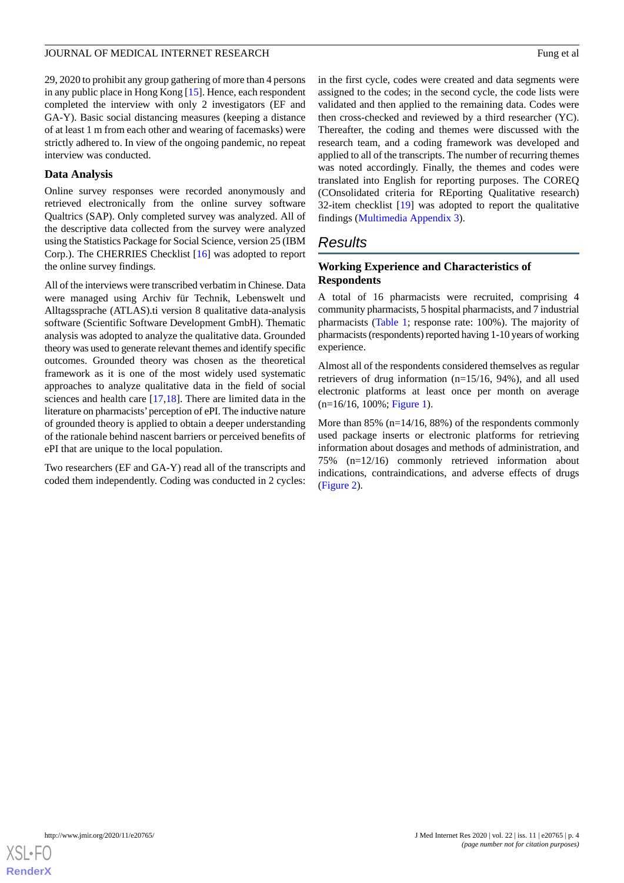29, 2020 to prohibit any group gathering of more than 4 persons in any public place in Hong Kong [[15\]](#page-11-12). Hence, each respondent completed the interview with only 2 investigators (EF and GA-Y). Basic social distancing measures (keeping a distance of at least 1 m from each other and wearing of facemasks) were strictly adhered to. In view of the ongoing pandemic, no repeat interview was conducted.

# **Data Analysis**

Online survey responses were recorded anonymously and retrieved electronically from the online survey software Qualtrics (SAP). Only completed survey was analyzed. All of the descriptive data collected from the survey were analyzed using the Statistics Package for Social Science, version 25 (IBM Corp.). The CHERRIES Checklist [[16\]](#page-11-13) was adopted to report the online survey findings.

All of the interviews were transcribed verbatim in Chinese. Data were managed using Archiv für Technik, Lebenswelt und Alltagssprache (ATLAS).ti version 8 qualitative data-analysis software (Scientific Software Development GmbH). Thematic analysis was adopted to analyze the qualitative data. Grounded theory was used to generate relevant themes and identify specific outcomes. Grounded theory was chosen as the theoretical framework as it is one of the most widely used systematic approaches to analyze qualitative data in the field of social sciences and health care [[17](#page-11-14)[,18](#page-11-15)]. There are limited data in the literature on pharmacists'perception of ePI. The inductive nature of grounded theory is applied to obtain a deeper understanding of the rationale behind nascent barriers or perceived benefits of ePI that are unique to the local population.

Two researchers (EF and GA-Y) read all of the transcripts and coded them independently. Coding was conducted in 2 cycles:

in the first cycle, codes were created and data segments were assigned to the codes; in the second cycle, the code lists were validated and then applied to the remaining data. Codes were then cross-checked and reviewed by a third researcher (YC). Thereafter, the coding and themes were discussed with the research team, and a coding framework was developed and applied to all of the transcripts. The number of recurring themes was noted accordingly. Finally, the themes and codes were translated into English for reporting purposes. The COREQ (COnsolidated criteria for REporting Qualitative research) 32-item checklist [[19\]](#page-11-16) was adopted to report the qualitative findings [\(Multimedia Appendix 3](#page-11-17)).

# *Results*

# **Working Experience and Characteristics of Respondents**

A total of 16 pharmacists were recruited, comprising 4 community pharmacists, 5 hospital pharmacists, and 7 industrial pharmacists [\(Table 1;](#page-4-0) response rate: 100%). The majority of pharmacists (respondents) reported having 1-10 years of working experience.

Almost all of the respondents considered themselves as regular retrievers of drug information (n=15/16, 94%), and all used electronic platforms at least once per month on average (n=16/16, 100%; [Figure 1\)](#page-4-1).

More than 85% (n=14/16, 88%) of the respondents commonly used package inserts or electronic platforms for retrieving information about dosages and methods of administration, and 75% (n=12/16) commonly retrieved information about indications, contraindications, and adverse effects of drugs ([Figure 2\)](#page-5-0).

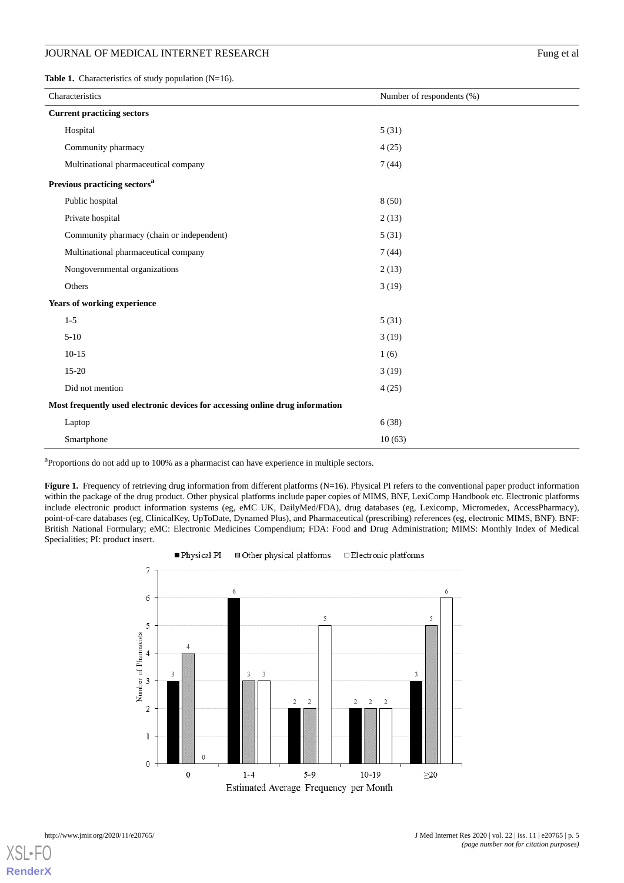### JOURNAL OF MEDICAL INTERNET RESEARCH Fung et al.

<span id="page-4-0"></span>Table 1. Characteristics of study population (N=16).

| Characteristics                                                               | Number of respondents (%) |  |  |  |  |
|-------------------------------------------------------------------------------|---------------------------|--|--|--|--|
| <b>Current practicing sectors</b>                                             |                           |  |  |  |  |
| Hospital                                                                      | 5(31)                     |  |  |  |  |
| Community pharmacy                                                            | 4(25)                     |  |  |  |  |
| Multinational pharmaceutical company                                          | 7(44)                     |  |  |  |  |
| Previous practicing sectors <sup>a</sup>                                      |                           |  |  |  |  |
| Public hospital                                                               | 8(50)                     |  |  |  |  |
| Private hospital                                                              | 2(13)                     |  |  |  |  |
| Community pharmacy (chain or independent)                                     | 5(31)                     |  |  |  |  |
| Multinational pharmaceutical company                                          | 7(44)                     |  |  |  |  |
| Nongovernmental organizations                                                 | 2(13)                     |  |  |  |  |
| Others                                                                        | 3(19)                     |  |  |  |  |
| Years of working experience                                                   |                           |  |  |  |  |
| $1 - 5$                                                                       | 5(31)                     |  |  |  |  |
| $5 - 10$                                                                      | 3(19)                     |  |  |  |  |
| $10 - 15$                                                                     | 1(6)                      |  |  |  |  |
| 15-20                                                                         | 3(19)                     |  |  |  |  |
| Did not mention                                                               | 4(25)                     |  |  |  |  |
| Most frequently used electronic devices for accessing online drug information |                           |  |  |  |  |
| Laptop                                                                        | 6(38)                     |  |  |  |  |
| Smartphone                                                                    | 10(63)                    |  |  |  |  |

<span id="page-4-1"></span><sup>a</sup>Proportions do not add up to 100% as a pharmacist can have experience in multiple sectors.

Figure 1. Frequency of retrieving drug information from different platforms (N=16). Physical PI refers to the conventional paper product information within the package of the drug product. Other physical platforms include paper copies of MIMS, BNF, LexiComp Handbook etc. Electronic platforms include electronic product information systems (eg, eMC UK, DailyMed/FDA), drug databases (eg, Lexicomp, Micromedex, AccessPharmacy), point-of-care databases (eg, ClinicalKey, UpToDate, Dynamed Plus), and Pharmaceutical (prescribing) references (eg, electronic MIMS, BNF). BNF: British National Formulary; eMC: Electronic Medicines Compendium; FDA: Food and Drug Administration; MIMS: Monthly Index of Medical Specialities; PI: product insert.



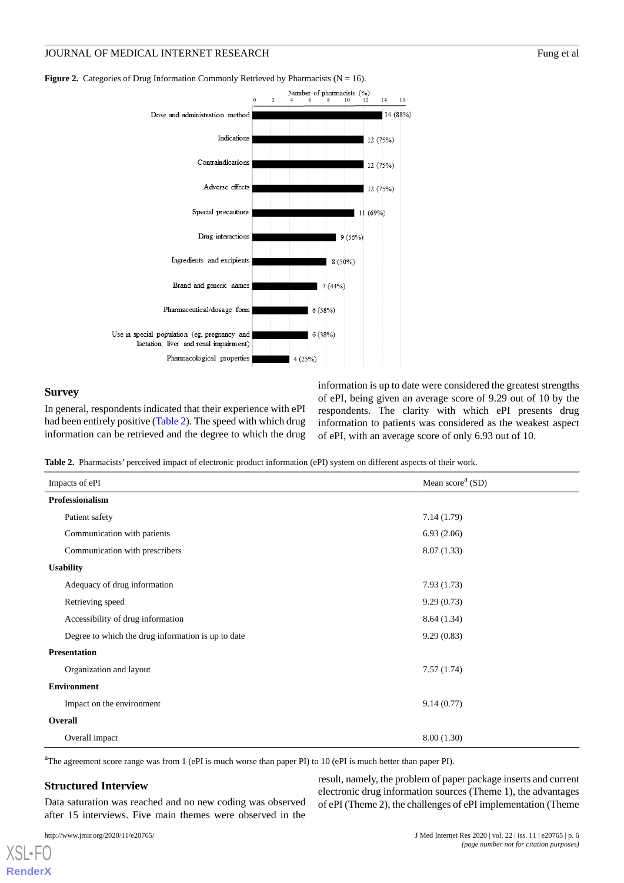# JOURNAL OF MEDICAL INTERNET RESEARCH Fung et al.

<span id="page-5-0"></span>**Figure 2.** Categories of Drug Information Commonly Retrieved by Pharmacists ( $N = 16$ ).



#### **Survey**

<span id="page-5-1"></span>In general, respondents indicated that their experience with ePI had been entirely positive ([Table 2](#page-5-1)). The speed with which drug information can be retrieved and the degree to which the drug

information is up to date were considered the greatest strengths of ePI, being given an average score of 9.29 out of 10 by the respondents. The clarity with which ePI presents drug information to patients was considered as the weakest aspect of ePI, with an average score of only 6.93 out of 10.

**Table 2.** Pharmacists' perceived impact of electronic product information (ePI) system on different aspects of their work.

| Impacts of ePI                                     | Mean score <sup>a</sup> (SD) |  |  |  |
|----------------------------------------------------|------------------------------|--|--|--|
| <b>Professionalism</b>                             |                              |  |  |  |
| Patient safety                                     | 7.14(1.79)                   |  |  |  |
| Communication with patients                        | 6.93(2.06)                   |  |  |  |
| Communication with prescribers                     | 8.07(1.33)                   |  |  |  |
| <b>Usability</b>                                   |                              |  |  |  |
| Adequacy of drug information                       | 7.93(1.73)                   |  |  |  |
| Retrieving speed                                   | 9.29(0.73)                   |  |  |  |
| Accessibility of drug information                  | 8.64 (1.34)                  |  |  |  |
| Degree to which the drug information is up to date | 9.29(0.83)                   |  |  |  |
| <b>Presentation</b>                                |                              |  |  |  |
| Organization and layout                            | 7.57(1.74)                   |  |  |  |
| <b>Environment</b>                                 |                              |  |  |  |
| Impact on the environment                          | 9.14(0.77)                   |  |  |  |
| Overall                                            |                              |  |  |  |
| Overall impact                                     | 8.00(1.30)                   |  |  |  |

<sup>a</sup>The agreement score range was from 1 (ePI is much worse than paper PI) to 10 (ePI is much better than paper PI).

#### **Structured Interview**

Data saturation was reached and no new coding was observed after 15 interviews. Five main themes were observed in the

result, namely, the problem of paper package inserts and current electronic drug information sources (Theme 1), the advantages of ePI (Theme 2), the challenges of ePI implementation (Theme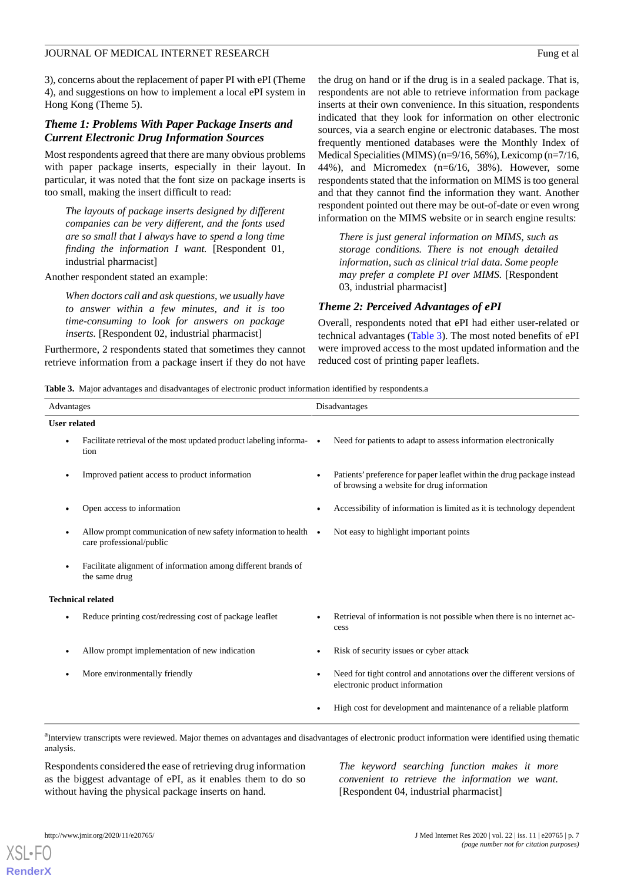3), concerns about the replacement of paper PI with ePI (Theme 4), and suggestions on how to implement a local ePI system in Hong Kong (Theme 5).

# *Theme 1: Problems With Paper Package Inserts and Current Electronic Drug Information Sources*

Most respondents agreed that there are many obvious problems with paper package inserts, especially in their layout. In particular, it was noted that the font size on package inserts is too small, making the insert difficult to read:

*The layouts of package inserts designed by different companies can be very different, and the fonts used are so small that I always have to spend a long time finding the information I want.* [Respondent 01, industrial pharmacist]

#### Another respondent stated an example:

*When doctors call and ask questions, we usually have to answer within a few minutes, and it is too time-consuming to look for answers on package inserts.* [Respondent 02, industrial pharmacist]

<span id="page-6-0"></span>Furthermore, 2 respondents stated that sometimes they cannot retrieve information from a package insert if they do not have the drug on hand or if the drug is in a sealed package. That is, respondents are not able to retrieve information from package inserts at their own convenience. In this situation, respondents indicated that they look for information on other electronic sources, via a search engine or electronic databases. The most frequently mentioned databases were the Monthly Index of Medical Specialities (MIMS) (n=9/16, 56%), Lexicomp (n=7/16, 44%), and Micromedex (n=6/16, 38%). However, some respondents stated that the information on MIMS is too general and that they cannot find the information they want. Another respondent pointed out there may be out-of-date or even wrong information on the MIMS website or in search engine results:

*There is just general information on MIMS, such as storage conditions. There is not enough detailed information, such as clinical trial data. Some people may prefer a complete PI over MIMS.* [Respondent 03, industrial pharmacist]

#### *Theme 2: Perceived Advantages of ePI*

Overall, respondents noted that ePI had either user-related or technical advantages [\(Table 3\)](#page-6-0). The most noted benefits of ePI were improved access to the most updated information and the reduced cost of printing paper leaflets.

**Table 3.** Major advantages and disadvantages of electronic product information identified by respondents.a

| Advantages                                                                                                                                                      |                                                                                                      | Disadvantages |                                                                                                                      |
|-----------------------------------------------------------------------------------------------------------------------------------------------------------------|------------------------------------------------------------------------------------------------------|---------------|----------------------------------------------------------------------------------------------------------------------|
| <b>User related</b>                                                                                                                                             |                                                                                                      |               |                                                                                                                      |
|                                                                                                                                                                 | Facilitate retrieval of the most updated product labeling informa-<br>tion                           |               | Need for patients to adapt to assess information electronically                                                      |
|                                                                                                                                                                 | Improved patient access to product information                                                       |               | Patients' preference for paper leaflet within the drug package instead<br>of browsing a website for drug information |
|                                                                                                                                                                 | Open access to information                                                                           |               | Accessibility of information is limited as it is technology dependent                                                |
|                                                                                                                                                                 | Allow prompt communication of new safety information to health $\bullet$<br>care professional/public |               | Not easy to highlight important points                                                                               |
|                                                                                                                                                                 | Facilitate alignment of information among different brands of<br>the same drug                       |               |                                                                                                                      |
| <b>Technical related</b>                                                                                                                                        |                                                                                                      |               |                                                                                                                      |
|                                                                                                                                                                 | Reduce printing cost/redressing cost of package leaflet                                              |               | Retrieval of information is not possible when there is no internet ac-<br>cess                                       |
|                                                                                                                                                                 | Allow prompt implementation of new indication                                                        |               | Risk of security issues or cyber attack                                                                              |
|                                                                                                                                                                 | More environmentally friendly                                                                        |               | Need for tight control and annotations over the different versions of<br>electronic product information              |
|                                                                                                                                                                 |                                                                                                      |               | High cost for development and maintenance of a reliable platform                                                     |
| <sup>a</sup> Interview transcripts were reviewed. Major themes on advantages and disadvantages of electronic product information were identified using thematic |                                                                                                      |               |                                                                                                                      |

analysis.

Respondents considered the ease of retrieving drug information as the biggest advantage of ePI, as it enables them to do so without having the physical package inserts on hand.

*The keyword searching function makes it more convenient to retrieve the information we want.* [Respondent 04, industrial pharmacist]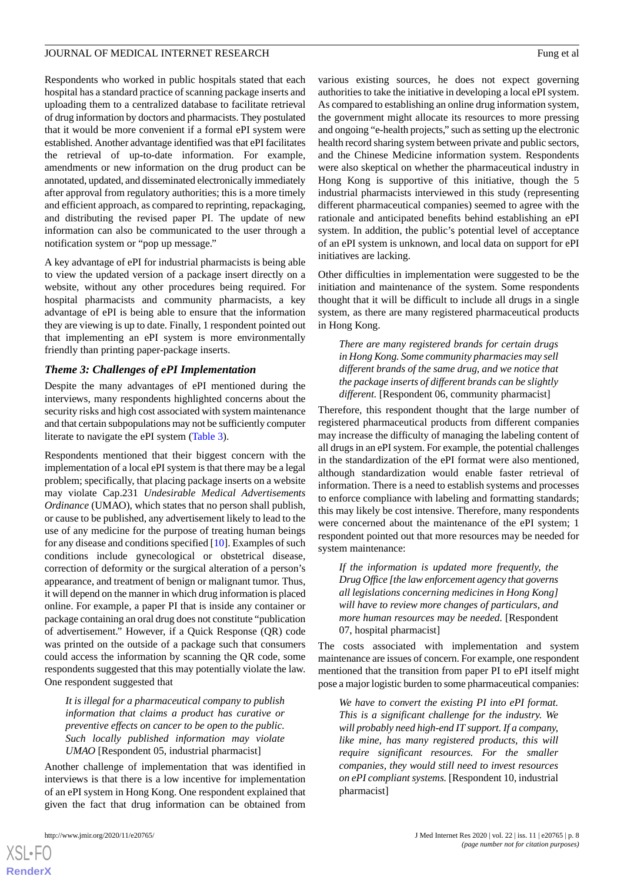Respondents who worked in public hospitals stated that each hospital has a standard practice of scanning package inserts and uploading them to a centralized database to facilitate retrieval of drug information by doctors and pharmacists. They postulated that it would be more convenient if a formal ePI system were established. Another advantage identified was that ePI facilitates the retrieval of up-to-date information. For example, amendments or new information on the drug product can be annotated, updated, and disseminated electronically immediately after approval from regulatory authorities; this is a more timely and efficient approach, as compared to reprinting, repackaging, and distributing the revised paper PI. The update of new information can also be communicated to the user through a notification system or "pop up message."

A key advantage of ePI for industrial pharmacists is being able to view the updated version of a package insert directly on a website, without any other procedures being required. For hospital pharmacists and community pharmacists, a key advantage of ePI is being able to ensure that the information they are viewing is up to date. Finally, 1 respondent pointed out that implementing an ePI system is more environmentally friendly than printing paper-package inserts.

# *Theme 3: Challenges of ePI Implementation*

Despite the many advantages of ePI mentioned during the interviews, many respondents highlighted concerns about the security risks and high cost associated with system maintenance and that certain subpopulations may not be sufficiently computer literate to navigate the ePI system [\(Table 3\)](#page-6-0).

Respondents mentioned that their biggest concern with the implementation of a local ePI system is that there may be a legal problem; specifically, that placing package inserts on a website may violate Cap.231 *Undesirable Medical Advertisements Ordinance* (UMAO), which states that no person shall publish, or cause to be published, any advertisement likely to lead to the use of any medicine for the purpose of treating human beings for any disease and conditions specified [\[10](#page-11-7)]. Examples of such conditions include gynecological or obstetrical disease, correction of deformity or the surgical alteration of a person's appearance, and treatment of benign or malignant tumor. Thus, it will depend on the manner in which drug information is placed online. For example, a paper PI that is inside any container or package containing an oral drug does not constitute "publication of advertisement." However, if a Quick Response (QR) code was printed on the outside of a package such that consumers could access the information by scanning the QR code, some respondents suggested that this may potentially violate the law. One respondent suggested that

*It is illegal for a pharmaceutical company to publish information that claims a product has curative or preventive effects on cancer to be open to the public. Such locally published information may violate UMAO* [Respondent 05, industrial pharmacist]

Another challenge of implementation that was identified in interviews is that there is a low incentive for implementation of an ePI system in Hong Kong. One respondent explained that given the fact that drug information can be obtained from

[XSL](http://www.w3.org/Style/XSL)•FO **[RenderX](http://www.renderx.com/)**

various existing sources, he does not expect governing authorities to take the initiative in developing a local ePI system. As compared to establishing an online drug information system, the government might allocate its resources to more pressing and ongoing "e-health projects," such as setting up the electronic health record sharing system between private and public sectors, and the Chinese Medicine information system. Respondents were also skeptical on whether the pharmaceutical industry in Hong Kong is supportive of this initiative, though the 5 industrial pharmacists interviewed in this study (representing different pharmaceutical companies) seemed to agree with the rationale and anticipated benefits behind establishing an ePI system. In addition, the public's potential level of acceptance of an ePI system is unknown, and local data on support for ePI initiatives are lacking.

Other difficulties in implementation were suggested to be the initiation and maintenance of the system. Some respondents thought that it will be difficult to include all drugs in a single system, as there are many registered pharmaceutical products in Hong Kong.

*There are many registered brands for certain drugs in Hong Kong. Some community pharmacies may sell different brands of the same drug, and we notice that the package inserts of different brands can be slightly different.* [Respondent 06, community pharmacist]

Therefore, this respondent thought that the large number of registered pharmaceutical products from different companies may increase the difficulty of managing the labeling content of all drugs in an ePI system. For example, the potential challenges in the standardization of the ePI format were also mentioned, although standardization would enable faster retrieval of information. There is a need to establish systems and processes to enforce compliance with labeling and formatting standards; this may likely be cost intensive. Therefore, many respondents were concerned about the maintenance of the ePI system; 1 respondent pointed out that more resources may be needed for system maintenance:

*If the information is updated more frequently, the Drug Office [the law enforcement agency that governs all legislations concerning medicines in Hong Kong] will have to review more changes of particulars, and more human resources may be needed.* [Respondent 07, hospital pharmacist]

The costs associated with implementation and system maintenance are issues of concern. For example, one respondent mentioned that the transition from paper PI to ePI itself might pose a major logistic burden to some pharmaceutical companies:

*We have to convert the existing PI into ePI format. This is a significant challenge for the industry. We will probably need high-end IT support. If a company, like mine, has many registered products, this will require significant resources. For the smaller companies, they would still need to invest resources on ePI compliant systems.* [Respondent 10, industrial pharmacist]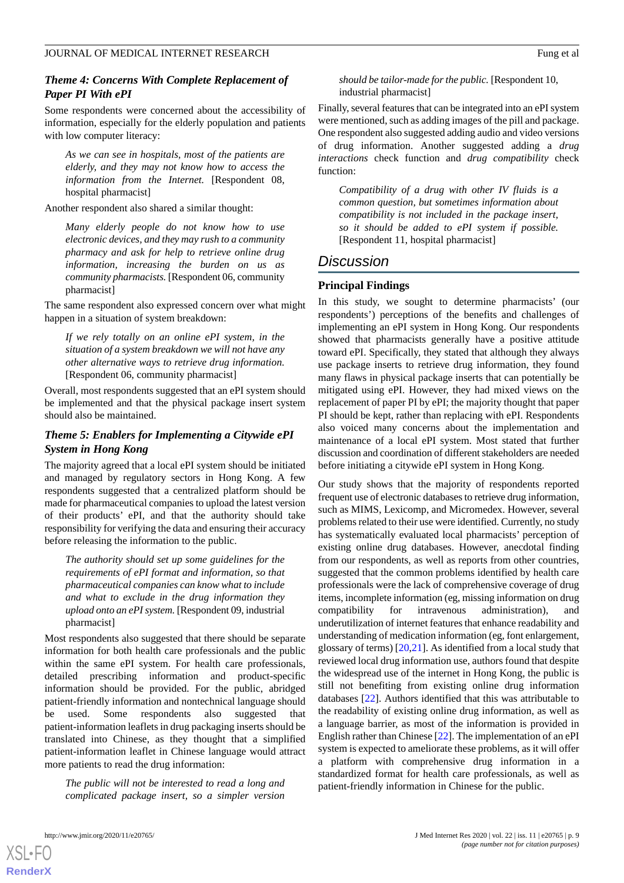# *Theme 4: Concerns With Complete Replacement of Paper PI With ePI*

Some respondents were concerned about the accessibility of information, especially for the elderly population and patients with low computer literacy:

*As we can see in hospitals, most of the patients are elderly, and they may not know how to access the information from the Internet.* [Respondent 08, hospital pharmacist]

Another respondent also shared a similar thought:

*Many elderly people do not know how to use electronic devices, and they may rush to a community pharmacy and ask for help to retrieve online drug information, increasing the burden on us as community pharmacists.* [Respondent 06, community pharmacist]

The same respondent also expressed concern over what might happen in a situation of system breakdown:

*If we rely totally on an online ePI system, in the situation of a system breakdown we will not have any other alternative ways to retrieve drug information.* [Respondent 06, community pharmacist]

Overall, most respondents suggested that an ePI system should be implemented and that the physical package insert system should also be maintained.

# *Theme 5: Enablers for Implementing a Citywide ePI System in Hong Kong*

The majority agreed that a local ePI system should be initiated and managed by regulatory sectors in Hong Kong. A few respondents suggested that a centralized platform should be made for pharmaceutical companies to upload the latest version of their products' ePI, and that the authority should take responsibility for verifying the data and ensuring their accuracy before releasing the information to the public.

*The authority should set up some guidelines for the requirements of ePI format and information, so that pharmaceutical companies can know what to include and what to exclude in the drug information they upload onto an ePI system.* [Respondent 09, industrial pharmacist]

Most respondents also suggested that there should be separate information for both health care professionals and the public within the same ePI system. For health care professionals, detailed prescribing information and product-specific information should be provided. For the public, abridged patient-friendly information and nontechnical language should be used. Some respondents also suggested that patient-information leaflets in drug packaging inserts should be translated into Chinese, as they thought that a simplified patient-information leaflet in Chinese language would attract more patients to read the drug information:

*The public will not be interested to read a long and complicated package insert, so a simpler version*

*should be tailor-made for the public.* [Respondent 10, industrial pharmacist]

Finally, several features that can be integrated into an ePI system were mentioned, such as adding images of the pill and package. One respondent also suggested adding audio and video versions of drug information. Another suggested adding a *drug interactions* check function and *drug compatibility* check function:

*Compatibility of a drug with other IV fluids is a common question, but sometimes information about compatibility is not included in the package insert, so it should be added to ePI system if possible.* [Respondent 11, hospital pharmacist]

# *Discussion*

# **Principal Findings**

In this study, we sought to determine pharmacists' (our respondents') perceptions of the benefits and challenges of implementing an ePI system in Hong Kong. Our respondents showed that pharmacists generally have a positive attitude toward ePI. Specifically, they stated that although they always use package inserts to retrieve drug information, they found many flaws in physical package inserts that can potentially be mitigated using ePI. However, they had mixed views on the replacement of paper PI by ePI; the majority thought that paper PI should be kept, rather than replacing with ePI. Respondents also voiced many concerns about the implementation and maintenance of a local ePI system. Most stated that further discussion and coordination of different stakeholders are needed before initiating a citywide ePI system in Hong Kong.

Our study shows that the majority of respondents reported frequent use of electronic databases to retrieve drug information, such as MIMS, Lexicomp, and Micromedex. However, several problems related to their use were identified. Currently, no study has systematically evaluated local pharmacists' perception of existing online drug databases. However, anecdotal finding from our respondents, as well as reports from other countries, suggested that the common problems identified by health care professionals were the lack of comprehensive coverage of drug items, incomplete information (eg, missing information on drug compatibility for intravenous administration), and underutilization of internet features that enhance readability and understanding of medication information (eg, font enlargement, glossary of terms) [\[20](#page-11-18),[21\]](#page-11-19). As identified from a local study that reviewed local drug information use, authors found that despite the widespread use of the internet in Hong Kong, the public is still not benefiting from existing online drug information databases [\[22](#page-11-20)]. Authors identified that this was attributable to the readability of existing online drug information, as well as a language barrier, as most of the information is provided in English rather than Chinese [[22\]](#page-11-20). The implementation of an ePI system is expected to ameliorate these problems, as it will offer a platform with comprehensive drug information in a standardized format for health care professionals, as well as patient-friendly information in Chinese for the public.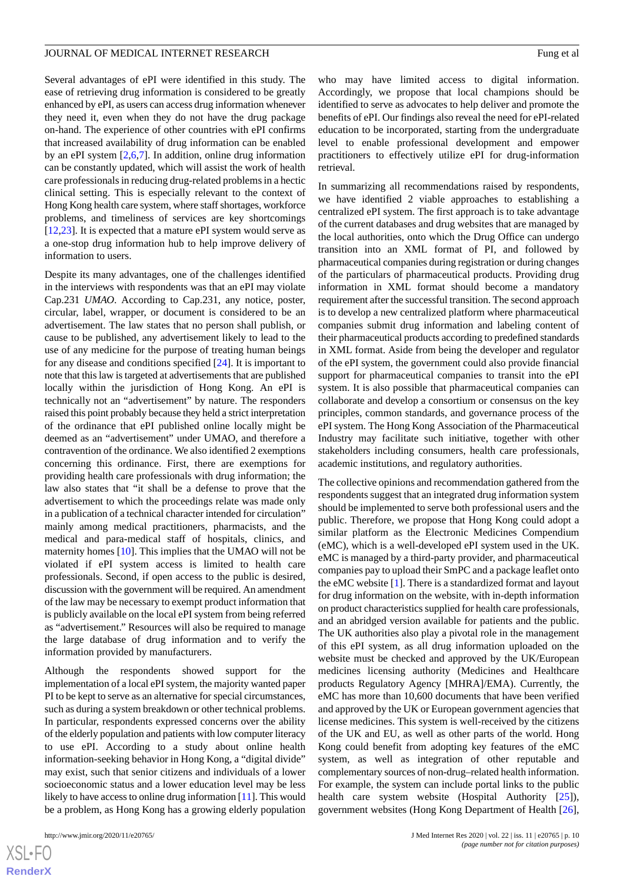#### JOURNAL OF MEDICAL INTERNET RESEARCH FUNCTION CONTROL TO THE SERVICE OF A PURSUIT SERVICE OF A PURSUIT SERVICE OF A PURSUIT SERVICE OF A PURSUIT SERVICE OF A PURSUIT SERVICE OF A PURSUIT SERVICE OF A PURSUIT SERVICE OF A P

Several advantages of ePI were identified in this study. The ease of retrieving drug information is considered to be greatly enhanced by ePI, as users can access drug information whenever they need it, even when they do not have the drug package on-hand. The experience of other countries with ePI confirms that increased availability of drug information can be enabled by an ePI system [[2,](#page-11-2)[6](#page-11-3),[7\]](#page-11-4). In addition, online drug information can be constantly updated, which will assist the work of health care professionals in reducing drug-related problems in a hectic clinical setting. This is especially relevant to the context of Hong Kong health care system, where staff shortages, workforce problems, and timeliness of services are key shortcomings [[12](#page-11-9)[,23](#page-12-0)]. It is expected that a mature ePI system would serve as a one-stop drug information hub to help improve delivery of information to users.

Despite its many advantages, one of the challenges identified in the interviews with respondents was that an ePI may violate Cap.231 *UMAO*. According to Cap.231, any notice, poster, circular, label, wrapper, or document is considered to be an advertisement. The law states that no person shall publish, or cause to be published, any advertisement likely to lead to the use of any medicine for the purpose of treating human beings for any disease and conditions specified [[24\]](#page-12-1). It is important to note that this law is targeted at advertisements that are published locally within the jurisdiction of Hong Kong. An ePI is technically not an "advertisement" by nature. The responders raised this point probably because they held a strict interpretation of the ordinance that ePI published online locally might be deemed as an "advertisement" under UMAO, and therefore a contravention of the ordinance. We also identified 2 exemptions concerning this ordinance. First, there are exemptions for providing health care professionals with drug information; the law also states that "it shall be a defense to prove that the advertisement to which the proceedings relate was made only in a publication of a technical character intended for circulation" mainly among medical practitioners, pharmacists, and the medical and para-medical staff of hospitals, clinics, and maternity homes [[10\]](#page-11-7). This implies that the UMAO will not be violated if ePI system access is limited to health care professionals. Second, if open access to the public is desired, discussion with the government will be required. An amendment of the law may be necessary to exempt product information that is publicly available on the local ePI system from being referred as "advertisement." Resources will also be required to manage the large database of drug information and to verify the information provided by manufacturers.

Although the respondents showed support for the implementation of a local ePI system, the majority wanted paper PI to be kept to serve as an alternative for special circumstances, such as during a system breakdown or other technical problems. In particular, respondents expressed concerns over the ability of the elderly population and patients with low computer literacy to use ePI. According to a study about online health information-seeking behavior in Hong Kong, a "digital divide" may exist, such that senior citizens and individuals of a lower socioeconomic status and a lower education level may be less likely to have access to online drug information [\[11](#page-11-8)]. This would be a problem, as Hong Kong has a growing elderly population

who may have limited access to digital information. Accordingly, we propose that local champions should be identified to serve as advocates to help deliver and promote the benefits of ePI. Our findings also reveal the need for ePI-related education to be incorporated, starting from the undergraduate level to enable professional development and empower practitioners to effectively utilize ePI for drug-information retrieval.

In summarizing all recommendations raised by respondents, we have identified 2 viable approaches to establishing a centralized ePI system. The first approach is to take advantage of the current databases and drug websites that are managed by the local authorities, onto which the Drug Office can undergo transition into an XML format of PI, and followed by pharmaceutical companies during registration or during changes of the particulars of pharmaceutical products. Providing drug information in XML format should become a mandatory requirement after the successful transition. The second approach is to develop a new centralized platform where pharmaceutical companies submit drug information and labeling content of their pharmaceutical products according to predefined standards in XML format. Aside from being the developer and regulator of the ePI system, the government could also provide financial support for pharmaceutical companies to transit into the ePI system. It is also possible that pharmaceutical companies can collaborate and develop a consortium or consensus on the key principles, common standards, and governance process of the ePI system. The Hong Kong Association of the Pharmaceutical Industry may facilitate such initiative, together with other stakeholders including consumers, health care professionals, academic institutions, and regulatory authorities.

The collective opinions and recommendation gathered from the respondents suggest that an integrated drug information system should be implemented to serve both professional users and the public. Therefore, we propose that Hong Kong could adopt a similar platform as the Electronic Medicines Compendium (eMC), which is a well-developed ePI system used in the UK. eMC is managed by a third-party provider, and pharmaceutical companies pay to upload their SmPC and a package leaflet onto the eMC website [\[1](#page-11-0)]. There is a standardized format and layout for drug information on the website, with in-depth information on product characteristics supplied for health care professionals, and an abridged version available for patients and the public. The UK authorities also play a pivotal role in the management of this ePI system, as all drug information uploaded on the website must be checked and approved by the UK/European medicines licensing authority (Medicines and Healthcare products Regulatory Agency [MHRA]/EMA). Currently, the eMC has more than 10,600 documents that have been verified and approved by the UK or European government agencies that license medicines. This system is well-received by the citizens of the UK and EU, as well as other parts of the world. Hong Kong could benefit from adopting key features of the eMC system, as well as integration of other reputable and complementary sources of non-drug–related health information. For example, the system can include portal links to the public health care system website (Hospital Authority [[25\]](#page-12-2)), government websites (Hong Kong Department of Health [[26\]](#page-12-3),

 $XS$ -FO **[RenderX](http://www.renderx.com/)**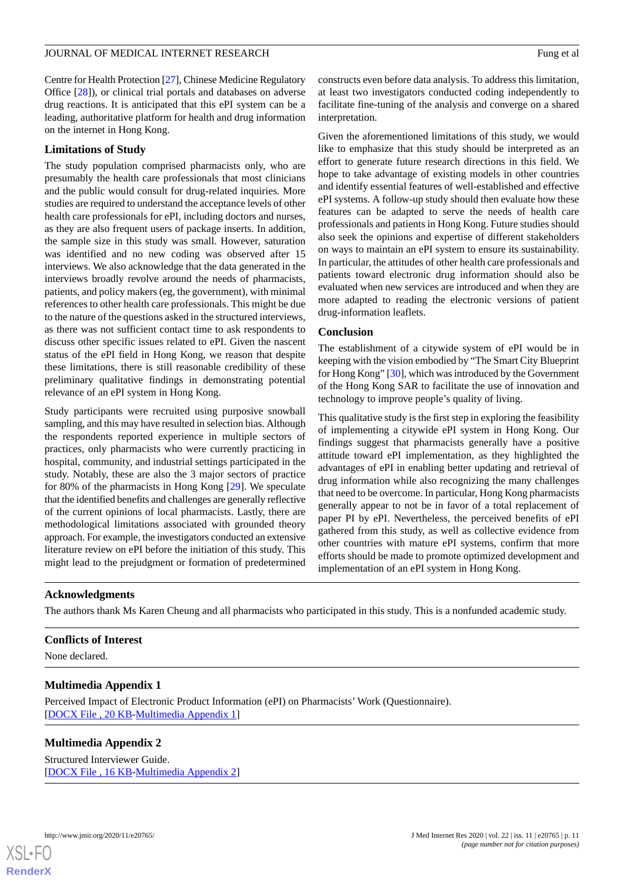Centre for Health Protection [[27\]](#page-12-4), Chinese Medicine Regulatory Office [[28\]](#page-12-5)), or clinical trial portals and databases on adverse drug reactions. It is anticipated that this ePI system can be a leading, authoritative platform for health and drug information on the internet in Hong Kong.

### **Limitations of Study**

The study population comprised pharmacists only, who are presumably the health care professionals that most clinicians and the public would consult for drug-related inquiries. More studies are required to understand the acceptance levels of other health care professionals for ePI, including doctors and nurses, as they are also frequent users of package inserts. In addition, the sample size in this study was small. However, saturation was identified and no new coding was observed after 15 interviews. We also acknowledge that the data generated in the interviews broadly revolve around the needs of pharmacists, patients, and policy makers (eg, the government), with minimal references to other health care professionals. This might be due to the nature of the questions asked in the structured interviews, as there was not sufficient contact time to ask respondents to discuss other specific issues related to ePI. Given the nascent status of the ePI field in Hong Kong, we reason that despite these limitations, there is still reasonable credibility of these preliminary qualitative findings in demonstrating potential relevance of an ePI system in Hong Kong.

Study participants were recruited using purposive snowball sampling, and this may have resulted in selection bias. Although the respondents reported experience in multiple sectors of practices, only pharmacists who were currently practicing in hospital, community, and industrial settings participated in the study. Notably, these are also the 3 major sectors of practice for 80% of the pharmacists in Hong Kong [[29\]](#page-12-6). We speculate that the identified benefits and challenges are generally reflective of the current opinions of local pharmacists. Lastly, there are methodological limitations associated with grounded theory approach. For example, the investigators conducted an extensive literature review on ePI before the initiation of this study. This might lead to the prejudgment or formation of predetermined

constructs even before data analysis. To address this limitation, at least two investigators conducted coding independently to facilitate fine-tuning of the analysis and converge on a shared interpretation.

Given the aforementioned limitations of this study, we would like to emphasize that this study should be interpreted as an effort to generate future research directions in this field. We hope to take advantage of existing models in other countries and identify essential features of well-established and effective ePI systems. A follow-up study should then evaluate how these features can be adapted to serve the needs of health care professionals and patients in Hong Kong. Future studies should also seek the opinions and expertise of different stakeholders on ways to maintain an ePI system to ensure its sustainability. In particular, the attitudes of other health care professionals and patients toward electronic drug information should also be evaluated when new services are introduced and when they are more adapted to reading the electronic versions of patient drug-information leaflets.

#### **Conclusion**

The establishment of a citywide system of ePI would be in keeping with the vision embodied by "The Smart City Blueprint for Hong Kong" [\[30](#page-12-7)], which was introduced by the Government of the Hong Kong SAR to facilitate the use of innovation and technology to improve people's quality of living.

This qualitative study is the first step in exploring the feasibility of implementing a citywide ePI system in Hong Kong. Our findings suggest that pharmacists generally have a positive attitude toward ePI implementation, as they highlighted the advantages of ePI in enabling better updating and retrieval of drug information while also recognizing the many challenges that need to be overcome. In particular, Hong Kong pharmacists generally appear to not be in favor of a total replacement of paper PI by ePI. Nevertheless, the perceived benefits of ePI gathered from this study, as well as collective evidence from other countries with mature ePI systems, confirm that more efforts should be made to promote optimized development and implementation of an ePI system in Hong Kong.

# **Acknowledgments**

<span id="page-10-0"></span>The authors thank Ms Karen Cheung and all pharmacists who participated in this study. This is a nonfunded academic study.

#### **Conflicts of Interest**

<span id="page-10-1"></span>None declared.

#### **Multimedia Appendix 1**

Perceived Impact of Electronic Product Information (ePI) on Pharmacists' Work (Questionnaire). [[DOCX File , 20 KB](https://jmir.org/api/download?alt_name=jmir_v22i11e20765_app1.docx&filename=49794559c539b8b76913957df89bde9e.docx)-[Multimedia Appendix 1\]](https://jmir.org/api/download?alt_name=jmir_v22i11e20765_app1.docx&filename=49794559c539b8b76913957df89bde9e.docx)

#### **Multimedia Appendix 2**

Structured Interviewer Guide. [[DOCX File , 16 KB](https://jmir.org/api/download?alt_name=jmir_v22i11e20765_app2.docx&filename=bf1a68a0f4941ba712d2efecfa861369.docx)-[Multimedia Appendix 2\]](https://jmir.org/api/download?alt_name=jmir_v22i11e20765_app2.docx&filename=bf1a68a0f4941ba712d2efecfa861369.docx)

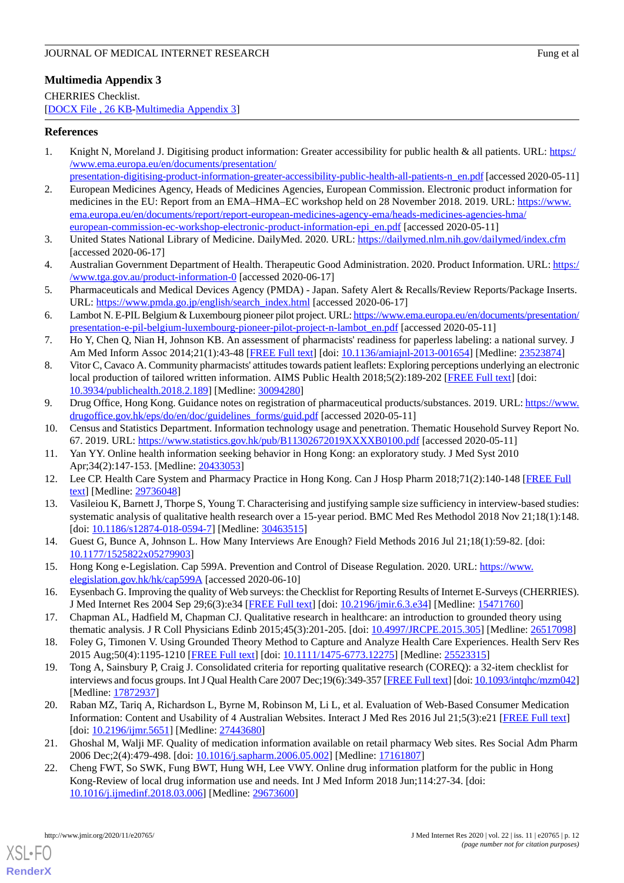# <span id="page-11-17"></span>**Multimedia Appendix 3**

CHERRIES Checklist. [[DOCX File , 26 KB](https://jmir.org/api/download?alt_name=jmir_v22i11e20765_app3.docx&filename=113f61f9cb16b2d94ff1154074812e4b.docx)-[Multimedia Appendix 3\]](https://jmir.org/api/download?alt_name=jmir_v22i11e20765_app3.docx&filename=113f61f9cb16b2d94ff1154074812e4b.docx)

# <span id="page-11-0"></span>**References**

- 1. Knight N, Moreland J. Digitising product information: Greater accessibility for public health & all patients. URL: [https:/](https://www.ema.europa.eu/en/documents/presentation/presentation-digitising-product-information-greater-accessibility-public-health-all-patients-n_en.pdf) [/www.ema.europa.eu/en/documents/presentation/](https://www.ema.europa.eu/en/documents/presentation/presentation-digitising-product-information-greater-accessibility-public-health-all-patients-n_en.pdf)
- <span id="page-11-2"></span>[presentation-digitising-product-information-greater-accessibility-public-health-all-patients-n\\_en.pdf](https://www.ema.europa.eu/en/documents/presentation/presentation-digitising-product-information-greater-accessibility-public-health-all-patients-n_en.pdf) [accessed 2020-05-11] 2. European Medicines Agency, Heads of Medicines Agencies, European Commission. Electronic product information for medicines in the EU: Report from an EMA–HMA–EC workshop held on 28 November 2018. 2019. URL: [https://www.](https://www.ema.europa.eu/en/documents/report/report-european-medicines-agency-ema/heads-medicines-agencies-hma/european-commission-ec-workshop-electronic-product-information-epi_en.pdf) [ema.europa.eu/en/documents/report/report-european-medicines-agency-ema/heads-medicines-agencies-hma/](https://www.ema.europa.eu/en/documents/report/report-european-medicines-agency-ema/heads-medicines-agencies-hma/european-commission-ec-workshop-electronic-product-information-epi_en.pdf) [european-commission-ec-workshop-electronic-product-information-epi\\_en.pdf](https://www.ema.europa.eu/en/documents/report/report-european-medicines-agency-ema/heads-medicines-agencies-hma/european-commission-ec-workshop-electronic-product-information-epi_en.pdf) [accessed 2020-05-11]
- 3. United States National Library of Medicine. DailyMed. 2020. URL: <https://dailymed.nlm.nih.gov/dailymed/index.cfm> [accessed 2020-06-17]
- <span id="page-11-1"></span>4. Australian Government Department of Health. Therapeutic Good Administration. 2020. Product Information. URL: [https:/](https://www.tga.gov.au/product-information-0) [/www.tga.gov.au/product-information-0](https://www.tga.gov.au/product-information-0) [accessed 2020-06-17]
- <span id="page-11-3"></span>5. Pharmaceuticals and Medical Devices Agency (PMDA) - Japan. Safety Alert & Recalls/Review Reports/Package Inserts. URL: [https://www.pmda.go.jp/english/search\\_index.html](https://www.pmda.go.jp/english/search_index.html) [accessed 2020-06-17]
- <span id="page-11-4"></span>6. Lambot N. E-PIL Belgium & Luxembourg pioneer pilot project. URL: [https://www.ema.europa.eu/en/documents/presentation/](https://www.ema.europa.eu/en/documents/presentation/presentation-e-pil-belgium-luxembourg-pioneer-pilot-project-n-lambot_en.pdf) [presentation-e-pil-belgium-luxembourg-pioneer-pilot-project-n-lambot\\_en.pdf](https://www.ema.europa.eu/en/documents/presentation/presentation-e-pil-belgium-luxembourg-pioneer-pilot-project-n-lambot_en.pdf) [accessed 2020-05-11]
- <span id="page-11-5"></span>7. Ho Y, Chen Q, Nian H, Johnson KB. An assessment of pharmacists' readiness for paperless labeling: a national survey. J Am Med Inform Assoc 2014;21(1):43-48 [\[FREE Full text\]](http://europepmc.org/abstract/MED/23523874) [doi: [10.1136/amiajnl-2013-001654](http://dx.doi.org/10.1136/amiajnl-2013-001654)] [Medline: [23523874\]](http://www.ncbi.nlm.nih.gov/entrez/query.fcgi?cmd=Retrieve&db=PubMed&list_uids=23523874&dopt=Abstract)
- <span id="page-11-6"></span>8. Vitor C, Cavaco A. Community pharmacists' attitudes towards patient leaflets: Exploring perceptions underlying an electronic local production of tailored written information. AIMS Public Health 2018;5(2):189-202 [\[FREE Full text\]](http://europepmc.org/abstract/MED/30094280) [doi: [10.3934/publichealth.2018.2.189\]](http://dx.doi.org/10.3934/publichealth.2018.2.189) [Medline: [30094280](http://www.ncbi.nlm.nih.gov/entrez/query.fcgi?cmd=Retrieve&db=PubMed&list_uids=30094280&dopt=Abstract)]
- <span id="page-11-8"></span><span id="page-11-7"></span>9. Drug Office, Hong Kong. Guidance notes on registration of pharmaceutical products/substances. 2019. URL: [https://www.](https://www.drugoffice.gov.hk/eps/do/en/doc/guidelines_forms/guid.pdf) [drugoffice.gov.hk/eps/do/en/doc/guidelines\\_forms/guid.pdf](https://www.drugoffice.gov.hk/eps/do/en/doc/guidelines_forms/guid.pdf) [accessed 2020-05-11]
- <span id="page-11-9"></span>10. Census and Statistics Department. Information technology usage and penetration. Thematic Household Survey Report No. 67. 2019. URL: <https://www.statistics.gov.hk/pub/B11302672019XXXXB0100.pdf> [accessed 2020-05-11]
- <span id="page-11-10"></span>11. Yan YY. Online health information seeking behavior in Hong Kong: an exploratory study. J Med Syst 2010 Apr;34(2):147-153. [Medline: [20433053\]](http://www.ncbi.nlm.nih.gov/entrez/query.fcgi?cmd=Retrieve&db=PubMed&list_uids=20433053&dopt=Abstract)
- <span id="page-11-11"></span>12. Lee CP. Health Care System and Pharmacy Practice in Hong Kong. Can J Hosp Pharm 2018;71(2):140-148 [\[FREE Full](http://europepmc.org/abstract/MED/29736048) [text](http://europepmc.org/abstract/MED/29736048)] [Medline: [29736048](http://www.ncbi.nlm.nih.gov/entrez/query.fcgi?cmd=Retrieve&db=PubMed&list_uids=29736048&dopt=Abstract)]
- <span id="page-11-12"></span>13. Vasileiou K, Barnett J, Thorpe S, Young T. Characterising and justifying sample size sufficiency in interview-based studies: systematic analysis of qualitative health research over a 15-year period. BMC Med Res Methodol 2018 Nov 21;18(1):148. [doi: [10.1186/s12874-018-0594-7](http://dx.doi.org/10.1186/s12874-018-0594-7)] [Medline: [30463515\]](http://www.ncbi.nlm.nih.gov/entrez/query.fcgi?cmd=Retrieve&db=PubMed&list_uids=30463515&dopt=Abstract)
- <span id="page-11-13"></span>14. Guest G, Bunce A, Johnson L. How Many Interviews Are Enough? Field Methods 2016 Jul 21;18(1):59-82. [doi: [10.1177/1525822x05279903\]](http://dx.doi.org/10.1177/1525822x05279903)
- <span id="page-11-14"></span>15. Hong Kong e-Legislation. Cap 599A. Prevention and Control of Disease Regulation. 2020. URL: [https://www.](https://www.elegislation.gov.hk/hk/cap599A) [elegislation.gov.hk/hk/cap599A](https://www.elegislation.gov.hk/hk/cap599A) [accessed 2020-06-10]
- <span id="page-11-16"></span><span id="page-11-15"></span>16. Eysenbach G. Improving the quality of Web surveys: the Checklist for Reporting Results of Internet E-Surveys (CHERRIES). J Med Internet Res 2004 Sep 29;6(3):e34 [\[FREE Full text\]](http://www.jmir.org/2004/3/e34/) [doi: [10.2196/jmir.6.3.e34](http://dx.doi.org/10.2196/jmir.6.3.e34)] [Medline: [15471760](http://www.ncbi.nlm.nih.gov/entrez/query.fcgi?cmd=Retrieve&db=PubMed&list_uids=15471760&dopt=Abstract)]
- 17. Chapman AL, Hadfield M, Chapman CJ. Qualitative research in healthcare: an introduction to grounded theory using thematic analysis. J R Coll Physicians Edinb 2015;45(3):201-205. [doi: [10.4997/JRCPE.2015.305\]](http://dx.doi.org/10.4997/JRCPE.2015.305) [Medline: [26517098](http://www.ncbi.nlm.nih.gov/entrez/query.fcgi?cmd=Retrieve&db=PubMed&list_uids=26517098&dopt=Abstract)]
- <span id="page-11-18"></span>18. Foley G, Timonen V. Using Grounded Theory Method to Capture and Analyze Health Care Experiences. Health Serv Res 2015 Aug;50(4):1195-1210 [[FREE Full text](http://europepmc.org/abstract/MED/25523315)] [doi: [10.1111/1475-6773.12275](http://dx.doi.org/10.1111/1475-6773.12275)] [Medline: [25523315](http://www.ncbi.nlm.nih.gov/entrez/query.fcgi?cmd=Retrieve&db=PubMed&list_uids=25523315&dopt=Abstract)]
- <span id="page-11-19"></span>19. Tong A, Sainsbury P, Craig J. Consolidated criteria for reporting qualitative research (COREQ): a 32-item checklist for interviews and focus groups. Int J Qual Health Care 2007 Dec;19(6):349-357 [\[FREE Full text\]](http://intqhc.oxfordjournals.org/cgi/pmidlookup?view=long&pmid=17872937) [doi: [10.1093/intqhc/mzm042\]](http://dx.doi.org/10.1093/intqhc/mzm042) [Medline: [17872937](http://www.ncbi.nlm.nih.gov/entrez/query.fcgi?cmd=Retrieve&db=PubMed&list_uids=17872937&dopt=Abstract)]
- <span id="page-11-20"></span>20. Raban MZ, Tariq A, Richardson L, Byrne M, Robinson M, Li L, et al. Evaluation of Web-Based Consumer Medication Information: Content and Usability of 4 Australian Websites. Interact J Med Res 2016 Jul 21;5(3):e21 [\[FREE Full text](https://www.i-jmr.org/2016/3/e21/)] [doi: [10.2196/ijmr.5651\]](http://dx.doi.org/10.2196/ijmr.5651) [Medline: [27443680\]](http://www.ncbi.nlm.nih.gov/entrez/query.fcgi?cmd=Retrieve&db=PubMed&list_uids=27443680&dopt=Abstract)
- 21. Ghoshal M, Walji MF. Quality of medication information available on retail pharmacy Web sites. Res Social Adm Pharm 2006 Dec;2(4):479-498. [doi: [10.1016/j.sapharm.2006.05.002](http://dx.doi.org/10.1016/j.sapharm.2006.05.002)] [Medline: [17161807\]](http://www.ncbi.nlm.nih.gov/entrez/query.fcgi?cmd=Retrieve&db=PubMed&list_uids=17161807&dopt=Abstract)
- 22. Cheng FWT, So SWK, Fung BWT, Hung WH, Lee VWY. Online drug information platform for the public in Hong Kong-Review of local drug information use and needs. Int J Med Inform 2018 Jun;114:27-34. [doi: [10.1016/j.ijmedinf.2018.03.006\]](http://dx.doi.org/10.1016/j.ijmedinf.2018.03.006) [Medline: [29673600](http://www.ncbi.nlm.nih.gov/entrez/query.fcgi?cmd=Retrieve&db=PubMed&list_uids=29673600&dopt=Abstract)]